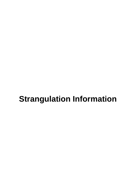# **Strangulation Information**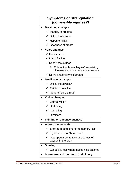# **Symptoms of Strangulation**  *(non-visible injuries?)*

- **Breathing changes**
	- $\checkmark$  Inability to breathe
	- $\checkmark$  Difficult to breathe
	- $\checkmark$  Hyperventilation
	- $\checkmark$  Shortness of breath

# **Voice changes**

- $\checkmark$  Hoarseness
- $\checkmark$  Loss of voice
- $\checkmark$  Raspiness (stridor)
	- $\triangleright$  Rule out asthma/allergies/pre-existing illnesses and document in your reports
- $\checkmark$  Nerve and/or larynx damage

# **Swallowing changes**

- $\checkmark$  Difficult to swallow
- $\checkmark$  Painful to swallow
- $\checkmark$  General "sore throat"

# **Vision changes**

- $\checkmark$  Blurred vision
- $\checkmark$  Darkening
- $\checkmark$  Tunneling
- $\checkmark$  Dizziness

# **Fainting or Unconsciousness**

- **Altered mental state**
	- $\checkmark$  Short-term and long-term memory loss
	- $\checkmark$  Light-headed or "head rush"
	- $\checkmark$  May appear combative due to loss of oxygen in the brain
- **Shaking**
	- $\checkmark$  Especially legs when maintaining balance
- **Short-term and long-term brain injury**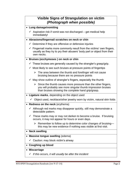# **Visible Signs of Strangulation on victim**  *(Photograph when possible)*

# **Lung damage/vomiting**

 $\checkmark$  Aspiration risk if vomit was not discharged – get medical help immediately!

#### **Abrasions/fingernail scratches on neck or chin**

- $\checkmark$  Determine if they are offensive or defensive injuries
- $\checkmark$  Fingernail marks more commonly result from the victims' own fingers, usually as they try to pry their abusers' body part or object from their own necks.

#### **Bruises (ecchymoses ) on neck or chin**

- $\checkmark$  These bruises are generally caused by the strangler's grasp/grip.
- $\checkmark$  Most likely to see such bruises at pressure points of fingertips
	- $\triangleright$  The area between the thumb and forefinger will not cause bruising because there are no pressure points
- $\checkmark$  May show outline of strangler's fingers, especially the thumb
	- $\triangleright$  Since the thumb causes more pressure than the other fingers, you will probably see more singular thumb impression bruises than bruises showing the complete hand grip/grasp.
- **Ligature marks**, depending on the object used
	- $\checkmark$  Object used, necklace/other jewelry worn by victim, natural skin folds
- **Redness on the neck** (erythema)
	- $\checkmark$  Although red marks may disappear quickly, still may demonstrate a detectable pattern.
	- $\checkmark$  These marks may or may not darken to become a bruise. If bruising occurs, it may not appear for hours or even days.
		- $\triangleright$  Remember to follow up to determine color changes of bruising this may be new evidence if nothing was visible at first visit.

#### **Neck swelling**

- **Massive tongue swelling** (edema)
	- $\checkmark$  Caution: may block victim's airway
- **Coughing up blood**

#### **Miscarriage**

*If this occurs, it will usually be after the incident*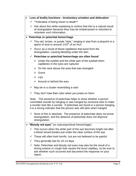| Loss of bodily functions - Involuntary urination and defecation |                                                                                                                                                                                                                                                                                            |  |
|-----------------------------------------------------------------|--------------------------------------------------------------------------------------------------------------------------------------------------------------------------------------------------------------------------------------------------------------------------------------------|--|
|                                                                 | $\checkmark$ **Indicative of being closer to death**                                                                                                                                                                                                                                       |  |
|                                                                 | $\checkmark$ Ask about this while explaining to victims that this is a natural result<br>of strangulation because they may be embarrassed or reluctant to                                                                                                                                  |  |
|                                                                 | volunteer such information.                                                                                                                                                                                                                                                                |  |
| • Petechiae or petechial hemorrhage                             |                                                                                                                                                                                                                                                                                            |  |
|                                                                 | $\checkmark$ Tiny red, brown, or purple "dots," ranging in size from a pinpoint or a<br>speck of dust to around 1/10 <sup>th</sup> of an inch                                                                                                                                              |  |
|                                                                 | $\checkmark$ Occur as a result of blood capillaries that burst from the<br>strangulation, causing bleeding under the skin.                                                                                                                                                                 |  |
|                                                                 | $\checkmark$ Petechiae or petechial hemorrhage are often found:                                                                                                                                                                                                                            |  |
|                                                                 | $\triangleright$ Under the eyelids and the white part of the eyeball when<br>capillaries in the eyes are ruptured                                                                                                                                                                          |  |
|                                                                 | $\triangleright$ On the neck above the area that was strangled                                                                                                                                                                                                                             |  |
|                                                                 | $\triangleright$ Gums                                                                                                                                                                                                                                                                      |  |
|                                                                 | $\triangleright$ Lips                                                                                                                                                                                                                                                                      |  |
|                                                                 | $\triangleright$ Around or behind the ears                                                                                                                                                                                                                                                 |  |
|                                                                 | $\checkmark$ May be in a cluster resembling a rash                                                                                                                                                                                                                                         |  |
|                                                                 | $\checkmark$ They don't lose their color when you press on them                                                                                                                                                                                                                            |  |
|                                                                 | Note: The presence of petechiae helps to show whether a person<br>committed suicide by hanging or was hanged by someone else to make<br>a murder look like a suicide. If petechiae are found in a person hanging,<br>it is a strong indicator that the person was still alive when hanged. |  |
|                                                                 | $\checkmark$ None of this is absolute: The presence of petechiae does not prove<br>strangulation, and the absence of petechiae does not disprove<br>strangulation.                                                                                                                         |  |
| "Bloody red eyes" (or subconjunctival hemorrhage):              |                                                                                                                                                                                                                                                                                            |  |
| ✓                                                               | This occurs when the white part of the eye becomes bright red after<br>a blood vessel breaks just under the clear surface of the eye.                                                                                                                                                      |  |
|                                                                 | $\checkmark$ These will often look horrific, but are not believed to be painful                                                                                                                                                                                                            |  |
| ✓                                                               | They generally last for 10-14 days                                                                                                                                                                                                                                                         |  |
| ✓                                                               | Note: Petechiae and bloody red eyes may also be the result of a<br>strong sneeze or cough that causes the burst capillary, so be sure to<br>ask whether such occurred and document the response on your<br>report.                                                                         |  |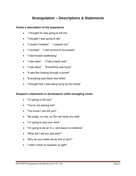# **Strangulation – Descriptions & Statements**

# **Victim's description of the experience**

- "I thought he was going to kill me"
- "I thought I was going to die"
- "I couldn't breathe" "I passed out"
- "I vomited" "I lost control of my bowels"
- "I had trouble swallowing"
- "I saw stars" "I had a head rush"
- "I was dizzy" "Everything was fuzzy"
- "It was like looking through a tunnel"
- "Everything was black and white"
- "I thought that I was being hung by his hands"

# **Suspect's statements or declarations while strangling victim**

- "I'm going to kill you!"
- "You're not leaving me!"
- "You know I can kill you!"
- "No judge, no cop, no DA can keep you safe"
- "I'm going to pop your neck."
- "I'm going to do an O.J. and leave no evidence"
- "What did I tell you last time?"
- "Why do you make me do this to you?"
- "I didn't mean to squeeze so tight."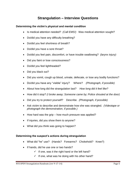# **Strangulation – Interview Questions**

# **Determining the victim's physical and mental condition**

- Is medical attention needed? *(Call EMS!)* Was medical attention sought?
- Do/did you have any difficulty breathing?
- Do/did you feel shortness of breath?
- Do/did you have a sore throat?
- Do/did you feel pain, discomfort, or have trouble swallowing? *(larynx injury)*
- Did you faint or lose consciousness?
- Do/did you feel lightheaded?
- Did you black out?
- Did you vomit, cough up blood, urinate, defecate, or lose any bodily functions?
- Do/did you have any "visible" injury? Where? *(Photograph, if possible)*
- About how long did the strangulation last? *How long did it feel like?*
- How did it stop? *(I broke away; Someone came by; Police shouted at the door)*
- Did you try to protect yourself? Describe. *(Photograph, if possible)*
- Ask victim to describe and demonstrate how she was strangled. *(Videotape or photograph the demonstration, if possible.)*
- $\bullet$  How hard was the grip how much pressure was applied?
- If injuries, did you show them to anyone?
- What did you think was going to happen?

# **Determining the suspect's actions during strangulation**

- What did "he" use? (Hands? Forearms? Chokehold? Knee?)
- If hands, did he use one or two hands?
	- $\checkmark$  If one, was it the right hand or the left hand?
	- $\checkmark$  If one, what was he doing with his other hand?